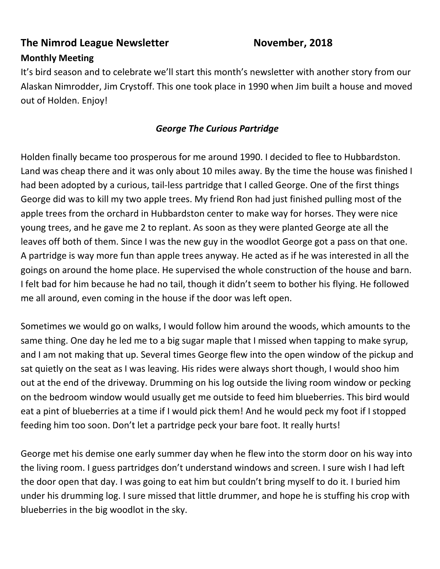# **The Nimrod League Newsletter Movember, 2018**

## **Monthly Meeting**

It's bird season and to celebrate we'll start this month's newsletter with another story from our Alaskan Nimrodder, Jim Crystoff. This one took place in 1990 when Jim built a house and moved out of Holden. Enjoy!

## *George The Curious Partridge*

Holden finally became too prosperous for me around 1990. I decided to flee to Hubbardston. Land was cheap there and it was only about 10 miles away. By the time the house was finished I had been adopted by a curious, tail-less partridge that I called George. One of the first things George did was to kill my two apple trees. My friend Ron had just finished pulling most of the apple trees from the orchard in Hubbardston center to make way for horses. They were nice young trees, and he gave me 2 to replant. As soon as they were planted George ate all the leaves off both of them. Since I was the new guy in the woodlot George got a pass on that one. A partridge is way more fun than apple trees anyway. He acted as if he was interested in all the goings on around the home place. He supervised the whole construction of the house and barn. I felt bad for him because he had no tail, though it didn't seem to bother his flying. He followed me all around, even coming in the house if the door was left open.

Sometimes we would go on walks, I would follow him around the woods, which amounts to the same thing. One day he led me to a big sugar maple that I missed when tapping to make syrup, and I am not making that up. Several times George flew into the open window of the pickup and sat quietly on the seat as I was leaving. His rides were always short though, I would shoo him out at the end of the driveway. Drumming on his log outside the living room window or pecking on the bedroom window would usually get me outside to feed him blueberries. This bird would eat a pint of blueberries at a time if I would pick them! And he would peck my foot if I stopped feeding him too soon. Don't let a partridge peck your bare foot. It really hurts!

George met his demise one early summer day when he flew into the storm door on his way into the living room. I guess partridges don't understand windows and screen. I sure wish I had left the door open that day. I was going to eat him but couldn't bring myself to do it. I buried him under his drumming log. I sure missed that little drummer, and hope he is stuffing his crop with blueberries in the big woodlot in the sky.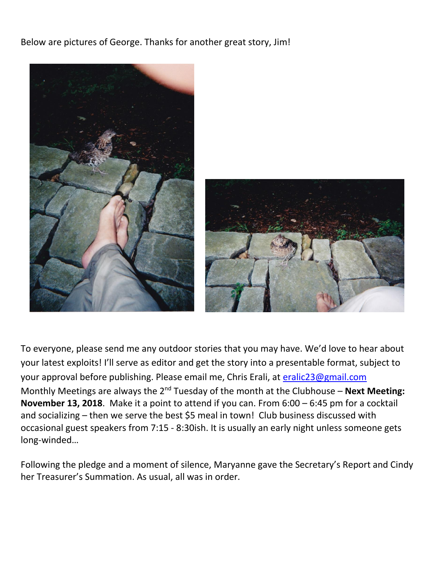Below are pictures of George. Thanks for another great story, Jim!



To everyone, please send me any outdoor stories that you may have. We'd love to hear about your latest exploits! I'll serve as editor and get the story into a presentable format, subject to your approval before publishing. Please email me, Chris Erali, at [eralic23@gmail.com](mailto:eralic23@gmail.com) Monthly Meetings are always the 2<sup>nd</sup> Tuesday of the month at the Clubhouse – **Next Meeting: November 13, 2018**. Make it a point to attend if you can. From 6:00 – 6:45 pm for a cocktail and socializing – then we serve the best \$5 meal in town! Club business discussed with occasional guest speakers from 7:15 - 8:30ish. It is usually an early night unless someone gets long-winded…

Following the pledge and a moment of silence, Maryanne gave the Secretary's Report and Cindy her Treasurer's Summation. As usual, all was in order.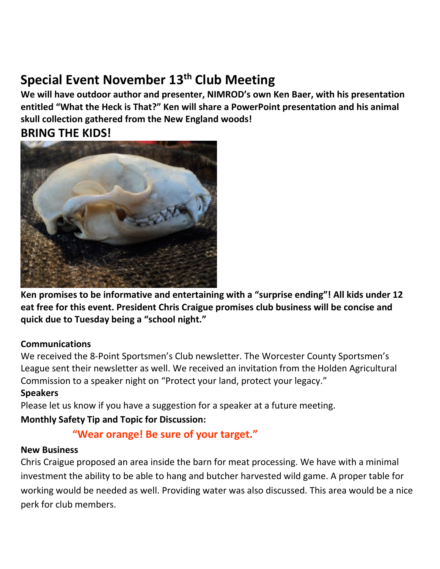# **Special Event November 13th Club Meeting**

**We will have outdoor author and presenter, NIMROD's own Ken Baer, with his presentation entitled "What the Heck is That?" Ken will share a PowerPoint presentation and his animal skull collection gathered from the New England woods!** 

# **BRING THE KIDS!**



**Ken promises to be informative and entertaining with a "surprise ending"! All kids under 12 eat free for this event. President Chris Craigue promises club business will be concise and quick due to Tuesday being a "school night."**

### **Communications**

We received the 8-Point Sportsmen's Club newsletter. The Worcester County Sportsmen's League sent their newsletter as well. We received an invitation from the Holden Agricultural Commission to a speaker night on "Protect your land, protect your legacy."

#### **Speakers**

Please let us know if you have a suggestion for a speaker at a future meeting.

### **Monthly Safety Tip and Topic for Discussion:**

# **"Wear orange! Be sure of your target."**

#### **New Business**

Chris Craigue proposed an area inside the barn for meat processing. We have with a minimal investment the ability to be able to hang and butcher harvested wild game. A proper table for working would be needed as well. Providing water was also discussed. This area would be a nice perk for club members.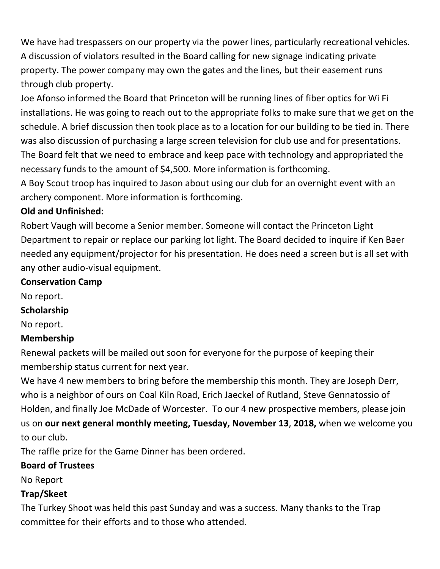We have had trespassers on our property via the power lines, particularly recreational vehicles. A discussion of violators resulted in the Board calling for new signage indicating private property. The power company may own the gates and the lines, but their easement runs through club property.

Joe Afonso informed the Board that Princeton will be running lines of fiber optics for Wi Fi installations. He was going to reach out to the appropriate folks to make sure that we get on the schedule. A brief discussion then took place as to a location for our building to be tied in. There was also discussion of purchasing a large screen television for club use and for presentations. The Board felt that we need to embrace and keep pace with technology and appropriated the necessary funds to the amount of \$4,500. More information is forthcoming.

A Boy Scout troop has inquired to Jason about using our club for an overnight event with an archery component. More information is forthcoming.

## **Old and Unfinished:**

Robert Vaugh will become a Senior member. Someone will contact the Princeton Light Department to repair or replace our parking lot light. The Board decided to inquire if Ken Baer needed any equipment/projector for his presentation. He does need a screen but is all set with any other audio-visual equipment.

#### **Conservation Camp**

No report.

### **Scholarship**

No report.

### **Membership**

Renewal packets will be mailed out soon for everyone for the purpose of keeping their membership status current for next year.

We have 4 new members to bring before the membership this month. They are Joseph Derr, who is a neighbor of ours on Coal Kiln Road, Erich Jaeckel of Rutland, Steve Gennatossio of Holden, and finally Joe McDade of Worcester. To our 4 new prospective members, please join us on **our next general monthly meeting, Tuesday, November 13**, **2018,** when we welcome you to our club.

The raffle prize for the Game Dinner has been ordered.

### **Board of Trustees**

No Report

## **Trap/Skeet**

The Turkey Shoot was held this past Sunday and was a success. Many thanks to the Trap committee for their efforts and to those who attended.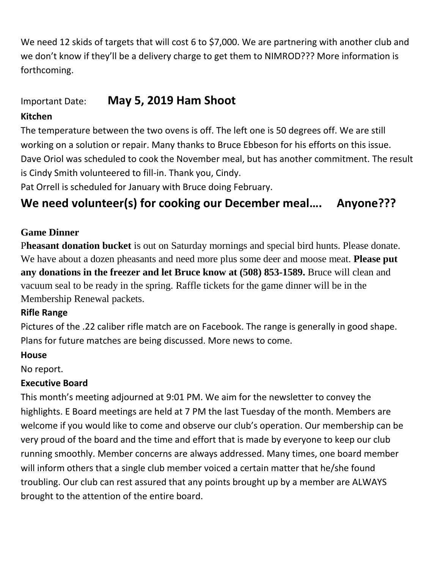We need 12 skids of targets that will cost 6 to \$7,000. We are partnering with another club and we don't know if they'll be a delivery charge to get them to NIMROD??? More information is forthcoming.

# Important Date: **May 5, 2019 Ham Shoot**

# **Kitchen**

The temperature between the two ovens is off. The left one is 50 degrees off. We are still working on a solution or repair. Many thanks to Bruce Ebbeson for his efforts on this issue. Dave Oriol was scheduled to cook the November meal, but has another commitment. The result is Cindy Smith volunteered to fill-in. Thank you, Cindy.

Pat Orrell is scheduled for January with Bruce doing February.

# **We need volunteer(s) for cooking our December meal…. Anyone???**

# **Game Dinner**

P**heasant donation bucket** is out on Saturday mornings and special bird hunts. Please donate. We have about a dozen pheasants and need more plus some deer and moose meat. **Please put any donations in the freezer and let Bruce know at (508) 853-1589.** Bruce will clean and vacuum seal to be ready in the spring. Raffle tickets for the game dinner will be in the Membership Renewal packets.

## **Rifle Range**

Pictures of the .22 caliber rifle match are on Facebook. The range is generally in good shape. Plans for future matches are being discussed. More news to come.

# **House**

No report.

## **Executive Board**

This month's meeting adjourned at 9:01 PM. We aim for the newsletter to convey the highlights. E Board meetings are held at 7 PM the last Tuesday of the month. Members are welcome if you would like to come and observe our club's operation. Our membership can be very proud of the board and the time and effort that is made by everyone to keep our club running smoothly. Member concerns are always addressed. Many times, one board member will inform others that a single club member voiced a certain matter that he/she found troubling. Our club can rest assured that any points brought up by a member are ALWAYS brought to the attention of the entire board.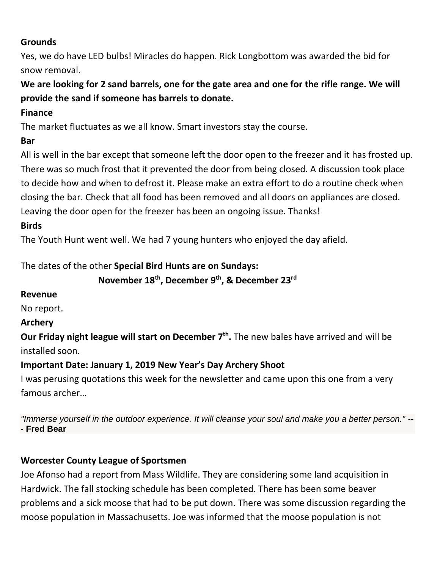## **Grounds**

Yes, we do have LED bulbs! Miracles do happen. Rick Longbottom was awarded the bid for snow removal.

# **We are looking for 2 sand barrels, one for the gate area and one for the rifle range. We will provide the sand if someone has barrels to donate.**

## **Finance**

The market fluctuates as we all know. Smart investors stay the course.

## **Bar**

All is well in the bar except that someone left the door open to the freezer and it has frosted up. There was so much frost that it prevented the door from being closed. A discussion took place to decide how and when to defrost it. Please make an extra effort to do a routine check when closing the bar. Check that all food has been removed and all doors on appliances are closed. Leaving the door open for the freezer has been an ongoing issue. Thanks!

## **Birds**

The Youth Hunt went well. We had 7 young hunters who enjoyed the day afield.

# The dates of the other **Special Bird Hunts are on Sundays:**

# **November 18th , December 9th, & December 23rd**

## **Revenue**

No report.

## **Archery**

**Our Friday night league will start on December 7th .** The new bales have arrived and will be installed soon.

## **Important Date: January 1, 2019 New Year's Day Archery Shoot**

I was perusing quotations this week for the newsletter and came upon this one from a very famous archer…

*"Immerse yourself in the outdoor experience. It will cleanse your soul and make you a better person."* -- - **Fred Bear**

## **Worcester County League of Sportsmen**

Joe Afonso had a report from Mass Wildlife. They are considering some land acquisition in Hardwick. The fall stocking schedule has been completed. There has been some beaver problems and a sick moose that had to be put down. There was some discussion regarding the moose population in Massachusetts. Joe was informed that the moose population is not